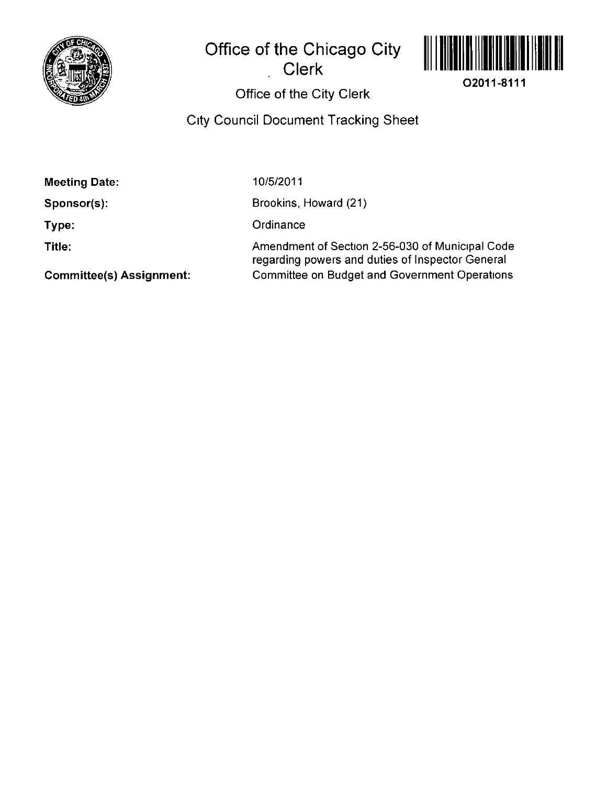

**Office of the Chicago City** 

**Clerk** 



**02011-8111** 

Office of the City Clerk

City Council Document Tracking Sheet

| <b>Meeting Date:</b>            | 10/5/2011                                                                                           |
|---------------------------------|-----------------------------------------------------------------------------------------------------|
| Sponsor(s):                     | Brookins, Howard (21)                                                                               |
| Type:                           | Ordinance                                                                                           |
| Title:                          | Amendment of Section 2-56-030 of Municipal Code<br>regarding powers and duties of Inspector General |
| <b>Committee(s) Assignment:</b> | <b>Committee on Budget and Government Operations</b>                                                |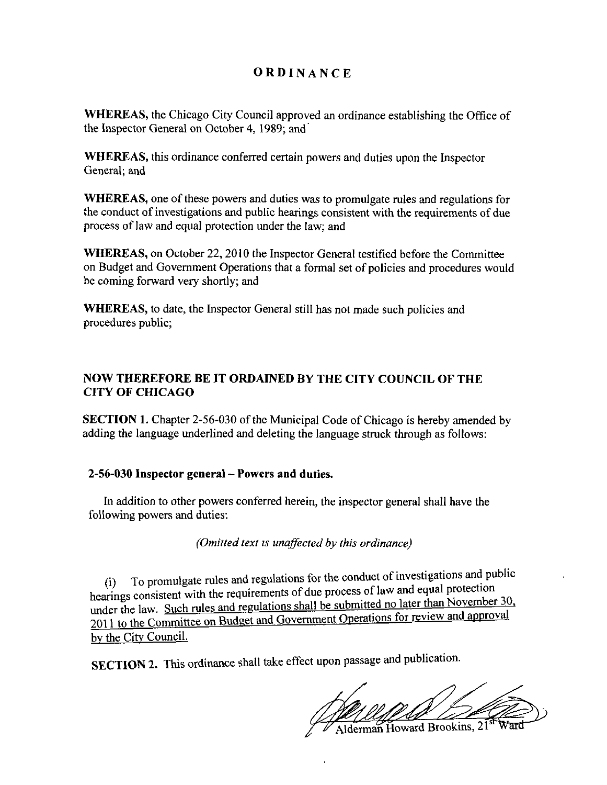## **ORDINANC E**

WHEREAS, the Chicago City Council approved an ordinance establishing the Office of the Inspector General on October 4, 1989; and

WHEREAS, this ordinance conferred certain powers and duties upon the Inspector General; and

WHEREAS, one of these powers and duties was to promulgate rules and regulations for the conduct of investigations and public hearings consistent with the requirements of due process of law and equal protection under the law; and

WHEREAS, on October 22, 2010 the Inspector General testified before the Committee on Budget and Govemment Operations that a formal set of policies and procedures would be coming forward very shortly; and

WHEREAS, to date, the Inspector General still has not made such policies and procedures public;

## **NOW THEREFORE BE IT ORDAINED BY THE CITY COUNCIL OF THE CITY OF CHICAGO**

**SECTION 1.** Chapter 2-56-030 of the Municipal Code of Chicago is hereby amended by adding the language underlined and deleting the language struck through as follows:

## **2-56-030 Inspector general - Powers and duties.**

In addition to other powers conferred herein, the inspector general shall have the following powers and duties:

*(Omitted text is unaffected by this ordinance)* 

(i) To promulgate rules and regulations for the conduct of investigations and public hearings consistent with the requirements of due process of law and equal protection under the law. Such rules and regulations shall be submitted no later than November 30. 2011 to the Committee on Budget and Government Operations for review and approval bv the Citv Council.

SECTION 2. This ordinance shall take effect upon passage and publication.

 $\frac{1}{\text{Alderman}$  Howard Brookins,  $21^{\frac{5}{31}}$